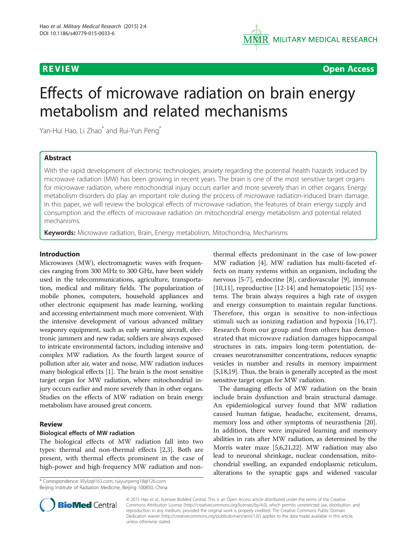

**REVIEW ACCESS REVIEW CONSULTER ACCESS CONSULTER ACCESS** 

# Effects of microwave radiation on brain energy metabolism and related mechanisms

Yan-Hui Hao, Li Zhao<sup>\*</sup> and Rui-Yun Peng<sup>\*</sup>

# Abstract

With the rapid development of electronic technologies, anxiety regarding the potential health hazards induced by microwave radiation (MW) has been growing in recent years. The brain is one of the most sensitive target organs for microwave radiation, where mitochondrial injury occurs earlier and more severely than in other organs. Energy metabolism disorders do play an important role during the process of microwave radiation-induced brain damage. In this paper, we will review the biological effects of microwave radiation, the features of brain energy supply and consumption and the effects of microwave radiation on mitochondrial energy metabolism and potential related mechanisms.

Keywords: Microwave radiation, Brain, Energy metabolism, Mitochondria, Mechanisms

# Introduction

Microwaves (MW), electromagnetic waves with frequencies ranging from 300 MHz to 300 GHz, have been widely used in the telecommunications, agriculture, transportation, medical and military fields. The popularization of mobile phones, computers, household appliances and other electronic equipment has made learning, working and accessing entertainment much more convenient. With the intensive development of various advanced military weaponry equipment, such as early warning aircraft, electronic jammers and new radar, soldiers are always exposed to intricate environmental factors, including intensive and complex MW radiation. As the fourth largest source of pollution after air, water and noise, MW radiation induces many biological effects [\[1\]](#page-5-0). The brain is the most sensitive target organ for MW radiation, where mitochondrial injury occurs earlier and more severely than in other organs. Studies on the effects of MW radiation on brain energy metabolism have aroused great concern.

### Review

# Biological effects of MW radiation

The biological effects of MW radiation fall into two types: thermal and non-thermal effects [[2](#page-5-0),[3\]](#page-5-0). Both are present, with thermal effects prominent in the case of high-power and high-frequency MW radiation and non-

\* Correspondence: [lillyliz@163.com;](mailto:lillyliz@163.com) [ruiyunpeng18@126.com](mailto:ruiyunpeng18@126.com) Beijing Institute of Radiation Medicine, Beijing 100850, China

thermal effects predominant in the case of low-power MW radiation [\[4](#page-5-0)]. MW radiation has multi-faceted effects on many systems within an organism, including the nervous [[5-7](#page-6-0)], endocrine [[8\]](#page-6-0), cardiovascular [[9\]](#page-6-0), immune [[10,11\]](#page-6-0), reproductive [[12](#page-6-0)-[14\]](#page-6-0) and hematopoietic [[15\]](#page-6-0) systems. The brain always requires a high rate of oxygen and energy consumption to maintain regular functions. Therefore, this organ is sensitive to non-infectious stimuli such as ionizing radiation and hypoxia [\[16](#page-6-0),[17](#page-6-0)]. Research from our group and from others has demonstrated that microwave radiation damages hippocampal structures in rats, impairs long-term potentiation, decreases neurotransmitter concentrations, reduces synaptic vesicles in number and results in memory impairment [[5,18,19\]](#page-6-0). Thus, the brain is generally accepted as the most sensitive target organ for MW radiation.

The damaging effects of MW radiation on the brain include brain dysfunction and brain structural damage. An epidemiological survey found that MW radiation caused human fatigue, headache, excitement, dreams, memory loss and other symptoms of neurasthenia [\[20](#page-6-0)]. In addition, there were impaired learning and memory abilities in rats after MW radiation, as determined by the Morris water maze [\[5,6,21,22](#page-6-0)]. MW radiation may also lead to neuronal shrinkage, nuclear condensation, mitochondrial swelling, an expanded endoplasmic reticulum, alterations to the synaptic gaps and widened vascular



© 2015 Hao et al.; licensee BioMed Central. This is an Open Access article distributed under the terms of the Creative Commons Attribution License [\(http://creativecommons.org/licenses/by/4.0\)](http://creativecommons.org/licenses/by/4.0), which permits unrestricted use, distribution, and reproduction in any medium, provided the original work is properly credited. The Creative Commons Public Domain Dedication waiver [\(http://creativecommons.org/publicdomain/zero/1.0/](http://creativecommons.org/publicdomain/zero/1.0/)) applies to the data made available in this article, unless otherwise stated.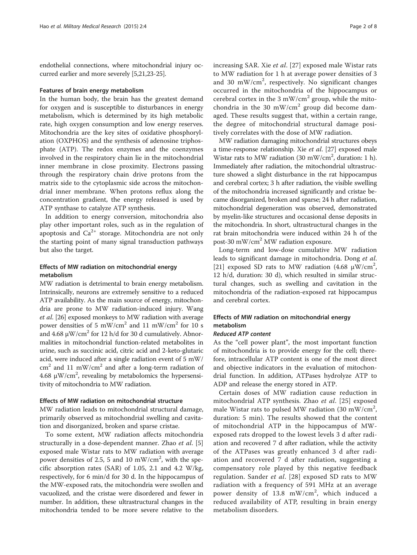endothelial connections, where mitochondrial injury occurred earlier and more severely [\[5,21,23](#page-6-0)-[25](#page-6-0)].

#### Features of brain energy metabolism

In the human body, the brain has the greatest demand for oxygen and is susceptible to disturbances in energy metabolism, which is determined by its high metabolic rate, high oxygen consumption and low energy reserves. Mitochondria are the key sites of oxidative phosphorylation (OXPHOS) and the synthesis of adenosine triphosphate (ATP). The redox enzymes and the coenzymes involved in the respiratory chain lie in the mitochondrial inner membrane in close proximity. Electrons passing through the respiratory chain drive protons from the matrix side to the cytoplasmic side across the mitochondrial inner membrane. When protons reflux along the concentration gradient, the energy released is used by ATP synthase to catalyze ATP synthesis.

In addition to energy conversion, mitochondria also play other important roles, such as in the regulation of apoptosis and  $Ca^{2+}$  storage. Mitochondria are not only the starting point of many signal transduction pathways but also the target.

# Effects of MW radiation on mitochondrial energy metabolism

MW radiation is detrimental to brain energy metabolism. Intrinsically, neurons are extremely sensitive to a reduced ATP availability. As the main source of energy, mitochondria are prone to MW radiation-induced injury. Wang et al. [\[26\]](#page-6-0) exposed monkeys to MW radiation with average power densities of 5 mW/cm<sup>2</sup> and 11 mW/cm<sup>2</sup> for 10 s and  $4.68 \mu$ W/cm<sup>2</sup> for 12 h/d for 30 d cumulatively. Abnormalities in mitochondrial function-related metabolites in urine, such as succinic acid, citric acid and 2-keto-glutaric acid, were induced after a single radiation event of 5 mW/  $\text{cm}^2$  and 11 mW/cm<sup>2</sup> and after a long-term radiation of 4.68  $\mu$ W/cm<sup>2</sup>, revealing by metabolomics the hypersensitivity of mitochondria to MW radiation.

# Effects of MW radiation on mitochondrial structure

MW radiation leads to mitochondrial structural damage, primarily observed as mitochondrial swelling and cavitation and disorganized, broken and sparse cristae.

To some extent, MW radiation affects mitochondria structurally in a dose-dependent manner. Zhao et al. [\[5](#page-6-0)] exposed male Wistar rats to MW radiation with average power densities of 2.5, 5 and 10 mW/cm<sup>2</sup>, with the specific absorption rates (SAR) of 1.05, 2.1 and 4.2 W/kg, respectively, for 6 min/d for 30 d. In the hippocampus of the MW-exposed rats, the mitochondria were swollen and vacuolized, and the cristae were disordered and fewer in number. In addition, these ultrastructural changes in the mitochondria tended to be more severe relative to the increasing SAR. Xie et al. [[27\]](#page-6-0) exposed male Wistar rats to MW radiation for 1 h at average power densities of 3 and 30 mW/cm<sup>2</sup>, respectively. No significant changes occurred in the mitochondria of the hippocampus or cerebral cortex in the 3 mW/cm<sup>2</sup> group, while the mitochondria in the 30 mW/cm<sup>2</sup> group did become damaged. These results suggest that, within a certain range, the degree of mitochondrial structural damage positively correlates with the dose of MW radiation.

MW radiation damaging mitochondrial structures obeys a time-response relationship. Xie et al. [[27](#page-6-0)] exposed male Wistar rats to MW radiation (30 mW/cm<sup>2</sup>, duration: 1 h). Immediately after radiation, the mitochondrial ultrastructure showed a slight disturbance in the rat hippocampus and cerebral cortex; 3 h after radiation, the visible swelling of the mitochondria increased significantly and cristae became disorganized, broken and sparse; 24 h after radiation, mitochondrial degeneration was observed, demonstrated by myelin-like structures and occasional dense deposits in the mitochondria. In short, ultrastructural changes in the rat brain mitochondria were induced within 24 h of the post-30 mW/cm<sup>2</sup> MW radiation exposure.

Long-term and low-dose cumulative MW radiation leads to significant damage in mitochondria. Dong et al. [[21\]](#page-6-0) exposed SD rats to MW radiation (4.68  $\mu$ W/cm<sup>2</sup>, 12 h/d, duration: 30 d), which resulted in similar structural changes, such as swelling and cavitation in the mitochondria of the radiation-exposed rat hippocampus and cerebral cortex.

# Effects of MW radiation on mitochondrial energy metabolism

# Reduced ATP content

As the "cell power plant", the most important function of mitochondria is to provide energy for the cell; therefore, intracellular ATP content is one of the most direct and objective indicators in the evaluation of mitochondrial function. In addition, ATPases hydrolyze ATP to ADP and release the energy stored in ATP.

Certain doses of MW radiation cause reduction in mitochondrial ATP synthesis. Zhao et al. [[25\]](#page-6-0) exposed male Wistar rats to pulsed MW radiation (30 mW/cm<sup>2</sup>, duration: 5 min). The results showed that the content of mitochondrial ATP in the hippocampus of MWexposed rats dropped to the lowest levels 3 d after radiation and recovered 7 d after radiation, while the activity of the ATPases was greatly enhanced 3 d after radiation and recovered 7 d after radiation, suggesting a compensatory role played by this negative feedback regulation. Sander et al. [[28](#page-6-0)] exposed SD rats to MW radiation with a frequency of 591 MHz at an average power density of 13.8 mW/cm<sup>2</sup>, which induced a reduced availability of ATP, resulting in brain energy metabolism disorders.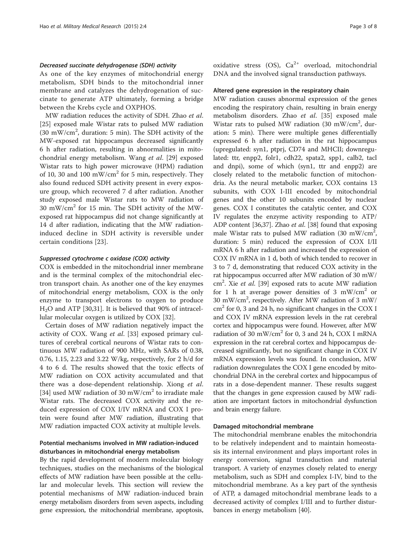#### Decreased succinate dehydrogenase (SDH) activity

As one of the key enzymes of mitochondrial energy metabolism, SDH binds to the mitochondrial inner membrane and catalyzes the dehydrogenation of succinate to generate ATP ultimately, forming a bridge between the Krebs cycle and OXPHOS.

MW radiation reduces the activity of SDH. Zhao et al. [[25\]](#page-6-0) exposed male Wistar rats to pulsed MW radiation (30 mW/cm<sup>2</sup>, duration: 5 min). The SDH activity of the MW-exposed rat hippocampus decreased significantly 6 h after radiation, resulting in abnormalities in mitochondrial energy metabolism. Wang et al. [[29\]](#page-6-0) exposed Wistar rats to high power microwave (HPM) radiation of 10, 30 and 100 mW/cm<sup>2</sup> for 5 min, respectively. They also found reduced SDH activity present in every exposure group, which recovered 7 d after radiation. Another study exposed male Wistar rats to MW radiation of 30 mW/cm<sup>2</sup> for 15 min. The SDH activity of the MWexposed rat hippocampus did not change significantly at 14 d after radiation, indicating that the MW radiationinduced decline in SDH activity is reversible under certain conditions [[23\]](#page-6-0).

#### Suppressed cytochrome c oxidase (COX) activity

COX is embedded in the mitochondrial inner membrane and is the terminal complex of the mitochondrial electron transport chain. As another one of the key enzymes of mitochondrial energy metabolism, COX is the only enzyme to transport electrons to oxygen to produce  $H<sub>2</sub>O$  and ATP [\[30,31](#page-6-0)]. It is believed that 90% of intracellular molecular oxygen is utilized by COX [\[32](#page-6-0)].

Certain doses of MW radiation negatively impact the activity of COX. Wang et al. [\[33\]](#page-6-0) exposed primary cultures of cerebral cortical neurons of Wistar rats to continuous MW radiation of 900 MHz, with SARs of 0.38, 0.76, 1.15, 2.23 and 3.22 W/kg, respectively, for 2 h/d for 4 to 6 d. The results showed that the toxic effects of MW radiation on COX activity accumulated and that there was a dose-dependent relationship. Xiong et al. [[34\]](#page-6-0) used MW radiation of 30 mW/cm<sup>2</sup> to irradiate male Wistar rats. The decreased COX activity and the reduced expression of COX I/IV mRNA and COX I protein were found after MW radiation, illustrating that MW radiation impacted COX activity at multiple levels.

# Potential mechanisms involved in MW radiation-induced disturbances in mitochondrial energy metabolism

By the rapid development of modern molecular biology techniques, studies on the mechanisms of the biological effects of MW radiation have been possible at the cellular and molecular levels. This section will review the potential mechanisms of MW radiation-induced brain energy metabolism disorders from seven aspects, including gene expression, the mitochondrial membrane, apoptosis, oxidative stress (OS),  $Ca^{2+}$  overload, mitochondrial DNA and the involved signal transduction pathways.

#### Altered gene expression in the respiratory chain

MW radiation causes abnormal expression of the genes encoding the respiratory chain, resulting in brain energy metabolism disorders. Zhao et al. [[35\]](#page-6-0) exposed male Wistar rats to pulsed MW radiation (30 mW/cm<sup>2</sup>, duration: 5 min). There were multiple genes differentially expressed 6 h after radiation in the rat hippocampus (upregulated: syn1, ptprj, CD74 and MHCII; downregulated: ttr, enpp2, folr1, cdh22, spata2, spp1, calb2, tacl and dnpi), some of which (syn1, ttr and enpp2) are closely related to the metabolic function of mitochondria. As the neural metabolic marker, COX contains 13 subunits, with COX I-III encoded by mitochondrial genes and the other 10 subunits encoded by nuclear genes. COX I constitutes the catalytic center, and COX IV regulates the enzyme activity responding to ATP/ ADP content [\[36,37\]](#page-6-0). Zhao et al. [\[38](#page-6-0)] found that exposing male Wistar rats to pulsed MW radiation (30 mW/cm<sup>2</sup>, duration: 5 min) reduced the expression of COX I/II mRNA 6 h after radiation and increased the expression of COX IV mRNA in 1 d, both of which tended to recover in 3 to 7 d, demonstrating that reduced COX activity in the rat hippocampus occurred after MW radiation of 30 mW/ cm<sup>2</sup>. Xie et al. [[39](#page-6-0)] exposed rats to acute MW radiation for 1 h at average power densities of 3  $mW/cm<sup>2</sup>$  or 30 mW/cm2 , respectively. After MW radiation of 3 mW/  $\text{cm}^2$  for 0, 3 and 24 h, no significant changes in the COX I and COX IV mRNA expression levels in the rat cerebral cortex and hippocampus were found. However, after MW radiation of 30 mW/cm2 for 0, 3 and 24 h, COX I mRNA expression in the rat cerebral cortex and hippocampus decreased significantly, but no significant change in COX IV mRNA expression levels was found. In conclusion, MW radiation downregulates the COX I gene encoded by mitochondrial DNA in the cerebral cortex and hippocampus of rats in a dose-dependent manner. These results suggest that the changes in gene expression caused by MW radiation are important factors in mitochondrial dysfunction and brain energy failure.

#### Damaged mitochondrial membrane

The mitochondrial membrane enables the mitochondria to be relatively independent and to maintain homeostasis its internal environment and plays important roles in energy conversion, signal transduction and material transport. A variety of enzymes closely related to energy metabolism, such as SDH and complex I-IV, bind to the mitochondrial membrane. As a key part of the synthesis of ATP, a damaged mitochondrial membrane leads to a decreased activity of complex I/III and to further disturbances in energy metabolism [[40](#page-6-0)].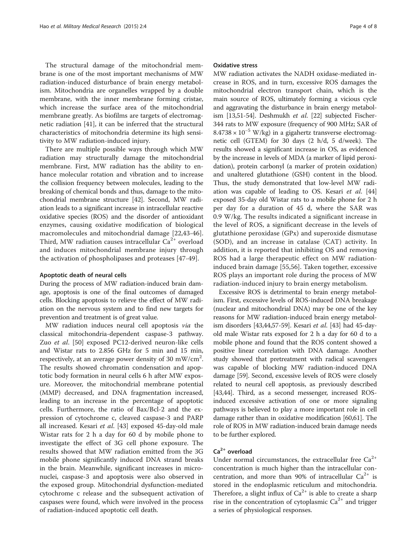The structural damage of the mitochondrial membrane is one of the most important mechanisms of MW radiation-induced disturbance of brain energy metabolism. Mitochondria are organelles wrapped by a double membrane, with the inner membrane forming cristae, which increase the surface area of the mitochondrial membrane greatly. As biofilms are targets of electromagnetic radiation [[41\]](#page-6-0), it can be inferred that the structural characteristics of mitochondria determine its high sensitivity to MW radiation-induced injury.

There are multiple possible ways through which MW radiation may structurally damage the mitochondrial membrane. First, MW radiation has the ability to enhance molecular rotation and vibration and to increase the collision frequency between molecules, leading to the breaking of chemical bonds and thus, damage to the mitochondrial membrane structure [[42](#page-6-0)]. Second, MW radiation leads to a significant increase in intracellular reactive oxidative species (ROS) and the disorder of antioxidant enzymes, causing oxidative modification of biological macromolecules and mitochondrial damage [\[22,43](#page-6-0)-[46](#page-6-0)]. Third, MW radiation causes intracellular  $Ca^{2+}$  overload and induces mitochondrial membrane injury through the activation of phospholipases and proteases [\[47](#page-6-0)-[49](#page-6-0)].

#### Apoptotic death of neural cells

During the process of MW radiation-induced brain damage, apoptosis is one of the final outcomes of damaged cells. Blocking apoptosis to relieve the effect of MW radiation on the nervous system and to find new targets for prevention and treatment is of great value.

MW radiation induces neural cell apoptosis via the classical mitochondria-dependent caspase-3 pathway. Zuo et al. [[50\]](#page-6-0) exposed PC12-derived neuron-like cells and Wistar rats to 2.856 GHz for 5 min and 15 min, respectively, at an average power density of 30 mW/cm<sup>2</sup>. The results showed chromatin condensation and apoptotic body formation in neural cells 6 h after MW exposure. Moreover, the mitochondrial membrane potential (MMP) decreased, and DNA fragmentation increased, leading to an increase in the percentage of apoptotic cells. Furthermore, the ratio of Bax/Bcl-2 and the expression of cytochrome c, cleaved caspase-3 and PARP all increased. Kesari et al. [[43](#page-6-0)] exposed 45-day-old male Wistar rats for 2 h a day for 60 d by mobile phone to investigate the effect of 3G cell phone exposure. The results showed that MW radiation emitted from the 3G mobile phone significantly induced DNA strand breaks in the brain. Meanwhile, significant increases in micronuclei, caspase-3 and apoptosis were also observed in the exposed group. Mitochondrial dysfunction-mediated cytochrome c release and the subsequent activation of caspases were found, which were involved in the process of radiation-induced apoptotic cell death.

#### Oxidative stress

MW radiation activates the NADH oxidase-mediated increase in ROS, and in turn, excessive ROS damages the mitochondrial electron transport chain, which is the main source of ROS, ultimately forming a vicious cycle and aggravating the disturbance in brain energy metabol-ism [\[13,51](#page-6-0)[-54\]](#page-7-0). Deshmukh et al. [[22](#page-6-0)] subjected Fischer-344 rats to MW exposure (frequency of 900 MHz; SAR of  $8.4738 \times 10^{-5}$  W/kg) in a gigahertz transverse electromagnetic cell (GTEM) for 30 days (2 h/d, 5 d/week). The results showed a significant increase in OS, as evidenced by the increase in levels of MDA (a marker of lipid peroxidation), protein carbonyl (a marker of protein oxidation) and unaltered glutathione (GSH) content in the blood. Thus, the study demonstrated that low-level MW radi-ation was capable of leading to OS. Kesari et al. [[44](#page-6-0)] exposed 35-day old Wistar rats to a mobile phone for 2 h per day for a duration of 45 d, where the SAR was 0.9 W/kg. The results indicated a significant increase in the level of ROS, a significant decrease in the levels of glutathione peroxidase (GPx) and superoxide dismutase (SOD), and an increase in catalase (CAT) activity. In addition, it is reported that inhibiting OS and removing ROS had a large therapeutic effect on MW radiationinduced brain damage [\[55,56](#page-7-0)]. Taken together, excessive ROS plays an important role during the process of MW radiation-induced injury to brain energy metabolism.

Excessive ROS is detrimental to brain energy metabolism. First, excessive levels of ROS-induced DNA breakage (nuclear and mitochondrial DNA) may be one of the key reasons for MW radiation-induced brain energy metabolism disorders [\[43,44](#page-6-0)[,57](#page-7-0)-[59](#page-7-0)]. Kesari et al. [\[43\]](#page-6-0) had 45-dayold male Wistar rats exposed for 2 h a day for 60 d to a mobile phone and found that the ROS content showed a positive linear correlation with DNA damage. Another study showed that pretreatment with radical scavengers was capable of blocking MW radiation-induced DNA damage [[59](#page-7-0)]. Second, excessive levels of ROS were closely related to neural cell apoptosis, as previously described [[43,44](#page-6-0)]. Third, as a second messenger, increased ROSinduced excessive activation of one or more signaling pathways is believed to play a more important role in cell damage rather than in oxidative modification [\[60,61](#page-7-0)]. The role of ROS in MW radiation-induced brain damage needs to be further explored.

# $Ca<sup>2+</sup>$  overload

Under normal circumstances, the extracellular free  $Ca^{2+}$ concentration is much higher than the intracellular concentration, and more than 90% of intracellular  $Ca^{2+}$  is stored in the endoplasmic reticulum and mitochondria. Therefore, a slight influx of  $Ca^{2+}$  is able to create a sharp rise in the concentration of cytoplasmic  $Ca^{2+}$  and trigger a series of physiological responses.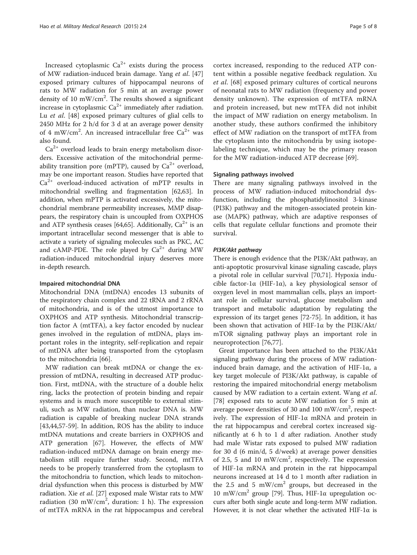Increased cytoplasmic  $Ca^{2+}$  exists during the process of MW radiation-induced brain damage. Yang et al. [[47](#page-6-0)] exposed primary cultures of hippocampal neurons of rats to MW radiation for 5 min at an average power density of 10 mW/cm<sup>2</sup>. The results showed a significant increase in cytoplasmic  $Ca^{2+}$  immediately after radiation. Lu et al. [\[48](#page-6-0)] exposed primary cultures of glial cells to 2450 MHz for 2 h/d for 3 d at an average power density of 4 mW/cm<sup>2</sup>. An increased intracellular free  $Ca^{2+}$  was also found.

 $Ca<sup>2+</sup>$  overload leads to brain energy metabolism disorders. Excessive activation of the mitochondrial permeability transition pore (mPTP), caused by  $Ca^{2+}$  overload, may be one important reason. Studies have reported that  $Ca<sup>2+</sup>$  overload-induced activation of mPTP results in mitochondrial swelling and fragmentation [\[62,63](#page-7-0)]. In addition, when mPTP is activated excessively, the mitochondrial membrane permeability increases, MMP disappears, the respiratory chain is uncoupled from OXPHOS and ATP synthesis ceases [[64,65](#page-7-0)]. Additionally,  $Ca^{2+}$  is an important intracellular second messenger that is able to activate a variety of signaling molecules such as PKC, AC and cAMP-PDE. The role played by  $Ca^{2+}$  during MW radiation-induced mitochondrial injury deserves more in-depth research.

#### Impaired mitochondrial DNA

Mitochondrial DNA (mtDNA) encodes 13 subunits of the respiratory chain complex and 22 tRNA and 2 rRNA of mitochondria, and is of the utmost importance to OXPHOS and ATP synthesis. Mitochondrial transcription factor A (mtTFA), a key factor encoded by nuclear genes involved in the regulation of mtDNA, plays important roles in the integrity, self-replication and repair of mtDNA after being transported from the cytoplasm to the mitochondria [[66\]](#page-7-0).

MW radiation can break mtDNA or change the expression of mtDNA, resulting in decreased ATP production. First, mtDNA, with the structure of a double helix ring, lacks the protection of protein binding and repair systems and is much more susceptible to external stimuli, such as MW radiation, than nuclear DNA is. MW radiation is capable of breaking nuclear DNA strands [[43,44,](#page-6-0)[57-59\]](#page-7-0). In addition, ROS has the ability to induce mtDNA mutations and create barriers in OXPHOS and ATP generation [[67\]](#page-7-0). However, the effects of MW radiation-induced mtDNA damage on brain energy metabolism still require further study. Second, mtTFA needs to be properly transferred from the cytoplasm to the mitochondria to function, which leads to mitochondrial dysfunction when this process is disturbed by MW radiation. Xie et al. [[27](#page-6-0)] exposed male Wistar rats to MW radiation (30 mW/cm<sup>2</sup>, duration: 1 h). The expression of mtTFA mRNA in the rat hippocampus and cerebral

cortex increased, responding to the reduced ATP content within a possible negative feedback regulation. Xu et al. [[68\]](#page-7-0) exposed primary cultures of cortical neurons of neonatal rats to MW radiation (frequency and power density unknown). The expression of mtTFA mRNA and protein increased, but new mtTFA did not inhibit the impact of MW radiation on energy metabolism. In another study, these authors confirmed the inhibitory effect of MW radiation on the transport of mtTFA from the cytoplasm into the mitochondria by using isotopelabeling technique, which may be the primary reason for the MW radiation-induced ATP decrease [[69\]](#page-7-0).

#### Signaling pathways involved

There are many signaling pathways involved in the process of MW radiation-induced mitochondrial dysfunction, including the phosphatidylinositol 3-kinase (PI3K) pathway and the mitogen-associated protein kinase (MAPK) pathway, which are adaptive responses of cells that regulate cellular functions and promote their survival.

#### PI3K/Akt pathway

There is enough evidence that the PI3K/Akt pathway, an anti-apoptotic prosurvival kinase signaling cascade, plays a pivotal role in cellular survival [[70,71\]](#page-7-0). Hypoxia inducible factor-1 $\alpha$  (HIF-1 $\alpha$ ), a key physiological sensor of oxygen level in most mammalian cells, plays an important role in cellular survival, glucose metabolism and transport and metabolic adaptation by regulating the expression of its target genes [\[72](#page-7-0)-[75\]](#page-7-0). In addition, it has been shown that activation of HIF-1α by the PI3K/Akt/ mTOR signaling pathway plays an important role in neuroprotection [\[76,77\]](#page-7-0).

Great importance has been attached to the PI3K/Akt signaling pathway during the process of MW radiationinduced brain damage, and the activation of HIF-1α, a key target molecule of PI3K/Akt pathway, is capable of restoring the impaired mitochondrial energy metabolism caused by MW radiation to a certain extent. Wang et al. [[78\]](#page-7-0) exposed rats to acute MW radiation for 5 min at average power densities of 30 and 100 mW/cm<sup>2</sup>, respectively. The expression of HIF-1α mRNA and protein in the rat hippocampus and cerebral cortex increased significantly at 6 h to 1 d after radiation. Another study had male Wistar rats exposed to pulsed MW radiation for 30 d (6 min/d, 5 d/week) at average power densities of 2.5, 5 and 10 mW/cm<sup>2</sup>, respectively. The expression of HIF-1α mRNA and protein in the rat hippocampal neurons increased at 14 d to 1 month after radiation in the 2.5 and 5 mW/cm<sup>2</sup> groups, but decreased in the 10 mW/cm<sup>2</sup> group [\[79\]](#page-7-0). Thus, HIF-1α upregulation occurs after both single acute and long-term MW radiation. However, it is not clear whether the activated HIF-1 $\alpha$  is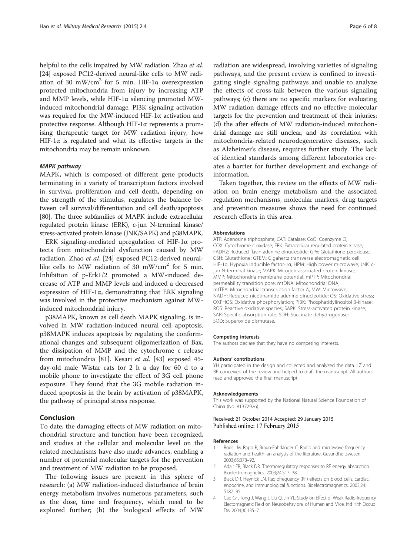<span id="page-5-0"></span>helpful to the cells impaired by MW radiation. Zhao et al. [[24](#page-6-0)] exposed PC12-derived neural-like cells to MW radiation of 30 mW/cm<sup>2</sup> for 5 min. HIF-1 $\alpha$  overexpression protected mitochondria from injury by increasing ATP and MMP levels, while HIF-1α silencing promoted MWinduced mitochondrial damage. PI3K signaling activation was required for the MW-induced HIF-1α activation and protective response. Although HIF-1α represents a promising therapeutic target for MW radiation injury, how HIF-1 $\alpha$  is regulated and what its effective targets in the mitochondria may be remain unknown.

#### MAPK pathway

MAPK, which is composed of different gene products terminating in a variety of transcription factors involved in survival, proliferation and cell death, depending on the strength of the stimulus, regulates the balance between cell survival/differentiation and cell death/apoptosis [[80](#page-7-0)]. The three subfamilies of MAPK include extracellular regulated protein kinase (ERK), c-jun N-terminal kinase/ stress-activated protein kinase (JNK/SAPK) and p38MAPK.

ERK signaling-mediated upregulation of HIF-1α protects from mitochondrial dysfunction caused by MW radiation. Zhao et al. [[24\]](#page-6-0) exposed PC12-derived neurallike cells to MW radiation of 30 mW/cm<sup>2</sup> for 5 min. Inhibition of p-Erk1/2 promoted a MW-induced decrease of ATP and MMP levels and induced a decreased expression of HIF-1 $\alpha$ , demonstrating that ERK signaling was involved in the protective mechanism against MWinduced mitochondrial injury.

p38MAPK, known as cell death MAPK signaling, is involved in MW radiation-induced neural cell apoptosis. p38MAPK induces apoptosis by regulating the conformational changes and subsequent oligomerization of Bax, the dissipation of MMP and the cytochrome c release from mitochondria [[81](#page-7-0)]. Kesari et al. [\[43](#page-6-0)] exposed 45 day-old male Wistar rats for 2 h a day for 60 d to a mobile phone to investigate the effect of 3G cell phone exposure. They found that the 3G mobile radiation induced apoptosis in the brain by activation of p38MAPK, the pathway of principal stress response.

#### Conclusion

To date, the damaging effects of MW radiation on mitochondrial structure and function have been recognized, and studies at the cellular and molecular level on the related mechanisms have also made advances, enabling a number of potential molecular targets for the prevention and treatment of MW radiation to be proposed.

The following issues are present in this sphere of research: (a) MW radiation-induced disturbance of brain energy metabolism involves numerous parameters, such as the dose, time and frequency, which need to be explored further; (b) the biological effects of MW

radiation are widespread, involving varieties of signaling pathways, and the present review is confined to investigating single signaling pathways and unable to analyze the effects of cross-talk between the various signaling pathways; (c) there are no specific markers for evaluating MW radiation damage effects and no effective molecular targets for the prevention and treatment of their injuries; (d) the after effects of MW radiation-induced mitochondrial damage are still unclear, and its correlation with mitochondria-related neurodegenerative diseases, such as Alzheimer's disease, requires further study. The lack of identical standards among different laboratories creates a barrier for further development and exchange of information.

Taken together, this review on the effects of MW radiation on brain energy metabolism and the associated regulation mechanisms, molecular markers, drug targets and prevention measures shows the need for continued research efforts in this area.

#### Abbreviations

ATP: Adenosine triphosphate; CAT: Catalase; CoQ: Coenzyme Q; COX: Cytochrome c oxidase; ERK: Extracellular regulated protein kinase; FADH2: Reduced flavin adenine dinucleotide; GPx: Glutathione peroxidase; GSH: Glutathione; GTEM: Gigahertz transverse electromagnetic cell; HIF-1α: Hypoxia inducible factor-1α; HPM: High power microwave; JNK: cjun N-terminal kinase; MAPK: Mitogen-associated protein kinase; MMP: Mitochondria membrane potential; mPTP: Mitochondrial permeability transition pore; mtDNA: Mitochondrial DNA; mtTFA: Mitochondrial transcription factor A; MW: Microwave; NADH: Reduced nicotinamide adenine dinucleotide; OS: Oxidative stress; OXPHOS: Oxidative phosphorylation; PI3K: Phosphatidylinositol 3-kinase; ROS: Reactive oxidative species; SAPK: Stress-activated protein kinase; SAR: Specific absorption rate: SDH: Succinate dehydrogenase; SOD: Superoxide dismutase.

#### Competing interests

The authors declare that they have no competing interests.

#### Authors' contributions

YH participated in the design and collected and analyzed the data. LZ and RP conceived of the review and helped to draft the manuscript. All authors read and approved the final manuscript.

#### Acknowledgements

This work was supported by the National Natural Science Foundation of China (No. 81372926).

#### Received: 21 October 2014 Accepted: 29 January 2015 Published online: 17 February 2015

#### References

- 1. Röösli M, Rapp R, Braun-Fahrländer C. Radio and microwave frequency radiation and health–an analysis of the literature. Gesundheitswesen. 2003;65:378–92.
- 2. Adair ER, Black DR. Thermoregulatory responses to RF energy absorption. Bioelectromagnetics. 2003;24:S17–38.
- 3. Black DR, Heynick LN. Radiofrequency (RF) effects on blood cells, cardiac, endocrine, and immunological functions. Bioelectromagnetics. 2003;24: S187–95.
- 4. Cao GF, Tong J, Wang J, Liu Q, Jin YL. Study on Effect of Weak Radio-frequency Electomagnetic Field on Neurobehavioral of Human and Mice. Ind Hlth Occup Dis. 2004;30:135–7.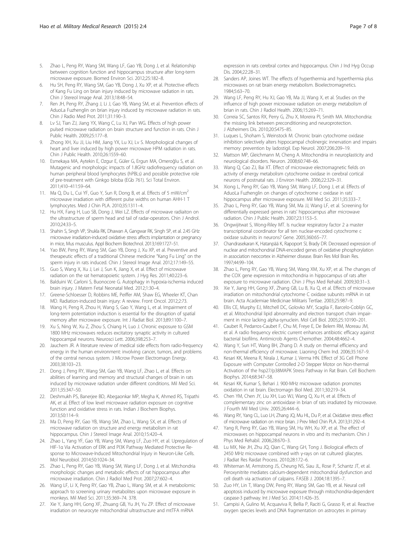- <span id="page-6-0"></span>5. Zhao L, Peng RY, Wang SM, Wang LF, Gao YB, Dong J, et al. Relationship between cognition function and hippocampus structure after long-term microwave exposure. Biomed Environ Sci. 2012;25:182–8.
- 6. Hu SH, Peng RY, Wang SM, Gao YB, Dong J, Xu XP, et al. Ptotective effects of Kang Fu Ling on brian injury induced by microwave radiation in rats. Chin J Stereol Image Anal. 2013;18:48–54.
- 7. Ren JH, Peng RY, Zhang J, Li J, Gao YB, Wang SM, et al. Prevention effects of AduoLa Fuzhenglin on brian injury induced by microwave radiation in rats. Chin J Radio Med Prot. 2011;31:190–3.
- 8. Lv SJ, Tian ZJ, Jiang YX, Wang C, Lu XJ, Pan WG. Effects of high power pulsed microwave radiation on brain structure and function in rats. Chin J Public Health. 2009;25:177–8.
- Zhong XH, Xu JJ, Liu HM, Jiang YX, Lu XJ, Lv S. Morphological changes of heart and liver induced by high power microwave HPM radiation in rats. Chin J Public Health. 2010;26:1559–60.
- 10. Esmekaya MA, Aytekin E, Ozgur E, Güler G, Ergun MA, Omeroğlu S, et al. Mutagenic and morphologic impacts of 1.8GHz radiofrequency radiation on human peripheral blood lymphocytes (hPBLs) and possible protective role of pre-treatment with Ginkgo biloba (EGb 761). Sci Total Environ. 2011;410–411:59–64.
- 11. Ma Q, Du L, Cui YF, Guo Y, Sun R, Dong B, et al. Effects of 5 mW/cm<sup>2</sup> microwave irradiation with different pulse widths on human AHH-1 T lymphocytes. Med J Chin PLA. 2010;35:1311–4.
- 12. Hu HX, Fang H, Luo SB, Dong J, Wei LZ. Effects of microwave radiaiton on the ultrastructure of sperm head and tail of radar-operators. Chin J Androl. 2010;24:33–5.
- 13. Shahin S, Singh VP, Shukla RK, Dhawan A, Gangwar RK, Singh SP, et al. 2.45 GHz microwave irradiation-induced oxidative stress affects implantation or pregnancy in mice, Mus musculus. Appl Biochem Biotechnol. 2013;169:1727–51.
- 14. Yao BW, Peng RY, Wang SM, Gao YB, Dong J, Xu XP, et al. Preventive and therapeutic effects of a traditional Chinese medicine "Kang Fu Ling" on the sperm injury in rats induced. Chin J Stereol Image Anal. 2012;17:149–55.
- 15. Guo S, Wang X, Xu J, Lei J, Sun K, Jiang X, et al. Effect of microwave radiation on the rat hematopoietic system. J Hyg Res. 2011;40:223–6.
- 16. Balduini W, Carloni S, Buonocore G. Autophagy in hypoxia-ischemia induced brain injury. J Matern Fetal Neonatal Med. 2012;1:30–4.
- 17. Greene-Schloesser D, Robbins ME, Peiffer AM, Shaw EG, Wheeler KT, Chan MD. Radiation-induced brain injury: A review. Front Oncol. 2012;2:73.
- 18. Wang H, Peng R, Zhou H, Wang S, Gao Y, Wang L, et al. Impairment of long-term potentiation induction is essential for the disruption of spatial memory after microwave exposure. Int J Radiat Biol. 2013;89:1100–7.
- 19. Xu S, Ning W, Xu Z, Zhou S, Chiang H, Luo J. Chronic exposure to GSM 1800 MHz microwaves reduces excitatory synaptic activity in cultured hippocampal neurons. Neurosci Lett. 2006;398:253–7.
- 20. Jauchem JR. A literature review of medical side effects from radio-frequency energy in the human environment: involving cancer, tumors, and problems of the central nervous system. J Microw Power Electromagn Energy. 2003;38:103–23.
- 21. Dong J, Peng RY, Wang SM, Gao YB, Wang LF, Zhao L, et al. Effects on abilities of learning and memory and structural changes of brain in rats induced by microwave radiation under different conditions. Mil Med Sci. 2011;35:347–50.
- 22. Deshmukh PS, Banerjee BD, Abegaonkar MP, Megha K, Ahmed RS, Tripathi AK, et al. Effect of low level microwave radiation exposure on cognitive function and oxidative stress in rats. Indian J Biochem Biophys. 2013;50:114–9.
- 23. Ma D, Peng RY, Gao YB, Wang SM, Zhao L, Wang SX, et al. Effects of microwave radiation on structure and energy metabolism in rat hippocampus. Chin J Stereol Image Anal. 2010;15:420-4.
- 24. Zhao L, Yang YF, Gao YB, Wang SM, Wang LF, Zuo HY, et al. Upregulation of HIF-1α Via Activation of ERK and PI3K Pathway Mediated Protective Response to Microwave-Induced Mitochondrial Injury in Neuron-Like Cells. Mol Neurobiol. 2014;50:1024–34.
- 25. Zhao L, Peng RY, Gao YB, Wang SM, Wang LF, Dong J, et al. Mitchondria morphologic changes and metabolic effects of rat hippocampus after microwave irradiation. Chin J Radiol Med Prot. 2007;27:602–4.
- 26. Wang LF, Li X, Peng RY, Gao YB, Zhao L, Wang SM, et al. A metabolomic approach to screening urinary metabolites upon microwave exposure in monkeys. Mil Med Sci. 2011;35:369–74. 378.
- 27. Xie Y, Jiang HH, Gong XF, Zhuang GB, Yu JH, Yu ZP. Effect of microwave irradiation on neurocyte mitochondrial ultrastructure and mtTFA mRNA

expression in rats cerebral cortex and hippocampus. Chin J Ind Hyg Occup Dis. 2004;22:28–31.

- 28. Sanders AP, Joines WT. The effects of hyperthermia and hyperthermia plus microwaves on rat brain energy metabolism. Bioelectromagnetics. 1984;5:63–70.
- 29. Wang LF, Peng RY, Hu XJ, Gao YB, Ma JJ, Wang X, et al. Studies on the influence of high power microwave radiation on energy metabolism of brian in rats. Chin J Radiol Health. 2006;15:269–71.
- 30. Correia SC, Santos RX, Perry G, Zhu X, Moreira PI, Smith MA. Mitochondria: the missing link between preconditioning and neuroprotection. J Alzheimers Dis. 2010;20:S475–85.
- 31. Luques L, Shoham S, Weinstock M. Chronic brain cytochrome oxidase inhibition selectively alters hippocampal cholinergic innervation and impairs memory: prevention by ladostigil. Exp Neurol. 2007;206:209–19.
- 32. Mattson MP, Gleichmann M, Cheng A. Mitochondria in neuroplasticity and neurological disorders. Neuron. 2008;60:748–66.
- 33. Wang Q, Cao ZJ, Bai XT. Effect of microwave electromagnetic fields on activity of energy metabolism cytochrome oxidase in cerebral cortical neurons of postnatal rats. J Environ Health. 2006;22:329–31.
- 34. Xiong L, Peng RY, Gao YB, Wang SM, Wang LF, Dong J, et al. Effects of AduoLa Fuzhenglin on changes of cytochrome c oxidase in rats' hippocampus after microwave exposure. Mil Med Sci. 2011;35:333–7.
- 35. Zhao L, Peng RY, Gao YB, Wang SM, Ma JJ, Wang LF, et al. Screening for differentially expressed genes in rats' hippocampus after microwave radiation. Chin J Public Health. 2007;23:1153–5.
- 36. Ongwijitwat S, Wong-Riley MT. Is nuclear respiratory factor 2 a master transcriptional coordinator for all ten nuclear-encoded cytochrome c oxidase subunits in neurons? Gene. 2005;360:65–77.
- 37. Chandrasekaran K, Hatanpää K, Rapoport SI, Brady DR. Decreased expression of nuclear and mitochondrial DNA-encoded genes of oxidative phosphorylation in association neocortex in Alzheimer disease. Brain Res Mol Brain Res. 1997;44:99–104.
- 38. Zhao L, Peng RY, Gao YB, Wang SM, Wang XM, Xu XP, et al. The changes of the COX gene expression in mitochondria in hippocampus of rats after exposure to microwave radiation. Chin J Phys Med Rehabil. 2009;30:31–3.
- 39. Xie Y, Jiang HH, Gong XF, Zhang GB, Lu B, Xu Q, et al. Effects of microwave irradiation on mitochondrial cytochrome C oxidase subunits mRNA in rat brain. Acta Academiae Medicinae Militaris Tertlae. 2003;25:987–9.
- 40. Ellis CE, Murphy EJ, Mitchell DC, Golovko MY, Scaglia F, Barcelo-Coblijn GC, et al. Mitochondrial lipid abnormality and electron transport chain impairment in mice lacking alpha-synuclein. Mol Cell Biol. 2005;25:10190–201.
- 41. Caubet R, Pedarros-Caubet F, Chu M, Freye E, De Belem RM, Moreau JM, et al. A radio frequency electric current enhances antibiotic efficacy against bacterial biofilms. Antimicrob Agents Chemother. 2004;48:4662–4.
- 42. Wang Y, Sun HT, Wang BH, Zhang D. A study on thermal efficiency and non-thermal efficiency of microwave. Liaoning Chem Ind. 2006;35:167–9.
- 43. Kesari KK, Meena R, Nirala J, Kumar J, Verma HN. Effect of 3G Cell Phone Exposure with Computer Controlled 2-D Stepper Motor on Non-thermal Activation of the hsp27/p38MAPK Stress Pathway in Rat Brain. Cell Biochem Biophys. 2014;68:347–58.
- 44. Kesari KK, Kumar S, Behari J. 900-MHz microwave radiation promotes oxidation in rat brain. Electromagn Biol Med. 2011;30:219–34.
- 45. Chen YM, Chen JY, Liu XH, Luo WJ, Wang Q, Xu H, et al. Effects of complementary zinc on antioxidase in brian of rats irradiated by microwave. J Fourth Mil Med Univ. 2005;26:444–6.
- 46. Wang RY, Yang CL, Luo LH, Zhang JQ, Mu HL, Du P, et al. Oxidative stress effect of microwave radiation on mice brian. J Prev Med Chin PLA. 2013;31:292–4.
- 47. Yang R, Peng RY, Gao YB, Wang SM, Hu WH, Xu XP, et al. The effect of microwaves on hippocampal neurons in vitro and its mechanism. Chin J Phys Med Rehabil. 2006;28:670–3.
- 48. Lu MX, Nie JH, Zhu JQ, Qian C, Wang GH, Tong J. Biological effects of 2450 MHz microwave combined with γ-rays on rat cultured gliacytes. J Radiat Res Raidat Process. 2010;28:172–6.
- 49. Whiteman M, Armstrong JS, Cheung NS, Siau JL, Rose P, Schantz JT, et al. Peroxynitrite mediates calcium-dependent mitochondrial dysfunction and cell death via activation of calpains. FASEB J. 2004;18:1395–7.
- 50. Zuo HY, Lin T, Wang DW, Peng RY, Wang SM, Gao YB, et al. Neural cell apoptosis induced by microwave exposure through mitochondria-dependent caspase-3 pathway. Int J Med Sci. 2014;11:426–35.
- 51. Campisi A, Gulino M, Acquaviva R, Bellia P, Raciti G, Grasso R, et al. Reactive oxygen species levels and DNA fragmentation on astrocytes in primary